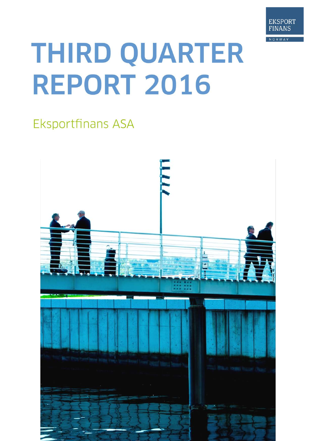

# THIRD QUARTER **REPORT 2016**

## **Eksportfinans ASA**

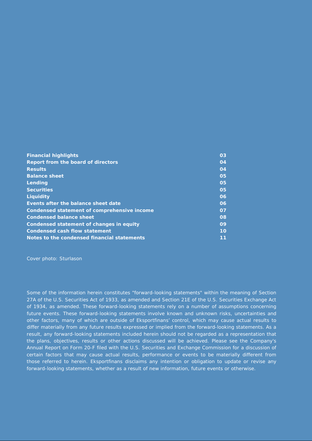| <b>Financial highlights</b>                 | 03 |
|---------------------------------------------|----|
| Report from the board of directors          | 04 |
| <b>Results</b>                              | 04 |
| <b>Balance sheet</b>                        | 05 |
| Lending                                     | 05 |
| <b>Securities</b>                           | 05 |
| <b>Liquidity</b>                            | 06 |
| Events after the balance sheet date         | 06 |
| Condensed statement of comprehensive income | 07 |
| <b>Condensed balance sheet</b>              | 08 |
| Condensed statement of changes in equity    | 09 |
| Condensed cash flow statement               | 10 |
| Notes to the condensed financial statements | 11 |

Cover photo: Sturlason

Some of the information herein constitutes "forward-looking statements" within the meaning of Section 27A of the U.S. Securities Act of 1933, as amended and Section 21E of the U.S. Securities Exchange Act of 1934, as amended. These forward-looking statements rely on a number of assumptions concerning future events. These forward-looking statements involve known and unknown risks, uncertainties and other factors, many of which are outside of Eksportfinans' control, which may cause actual results to differ materially from any future results expressed or implied from the forward-looking statements. As a result, any forward-looking statements included herein should not be regarded as a representation that the plans, objectives, results or other actions discussed will be achieved. Please see the Company's Annual Report on Form 20-F filed with the U.S. Securities and Exchange Commission for a discussion of certain factors that may cause actual results, performance or events to be materially different from those referred to herein. Eksportfinans disclaims any intention or obligation to update or revise any forward-looking statements, whether as a result of new information, future events or otherwise.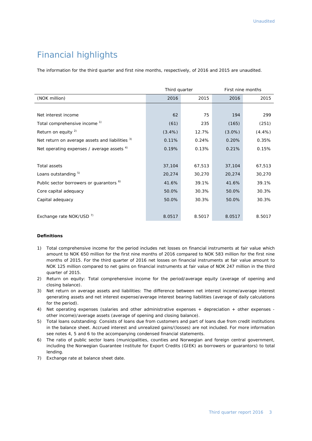## Financial highlights

The information for the third quarter and first nine months, respectively, of 2016 and 2015 are unaudited.

|                                                     | Third quarter |        | First nine months |           |  |
|-----------------------------------------------------|---------------|--------|-------------------|-----------|--|
| (NOK million)                                       | 2016          | 2015   | 2016              | 2015      |  |
|                                                     |               |        |                   |           |  |
| Net interest income                                 | 62            | 75     | 194               | 299       |  |
| Total comprehensive income <sup>1)</sup>            | (61)          | 235    | (165)             | (251)     |  |
| Return on equity $2$                                | $(3.4\%)$     | 12.7%  | $(3.0\%)$         | $(4.4\%)$ |  |
| Net return on average assets and liabilities 3)     | 0.11%         | 0.24%  | 0.20%             | 0.35%     |  |
| Net operating expenses / average assets $4$ )       | 0.19%         | 0.13%  | 0.21%             | 0.15%     |  |
|                                                     |               |        |                   |           |  |
| Total assets                                        | 37,104        | 67,513 | 37,104            | 67,513    |  |
| Loans outstanding 5)                                | 20,274        | 30,270 | 20,274            | 30,270    |  |
| Public sector borrowers or guarantors <sup>6)</sup> | 41.6%         | 39.1%  | 41.6%             | 39.1%     |  |
| Core capital adequacy                               | 50.0%         | 30.3%  | 50.0%             | 30.3%     |  |
| Capital adequacy                                    | 50.0%         | 30.3%  | 50.0%             | 30.3%     |  |
|                                                     |               |        |                   |           |  |
| Exchange rate NOK/USD <sup>7)</sup>                 | 8.0517        | 8.5017 | 8.0517            | 8.5017    |  |

#### **Definitions**

- 1) Total comprehensive income for the period includes net losses on financial instruments at fair value which amount to NOK 650 million for the first nine months of 2016 compared to NOK 583 million for the first nine months of 2015. For the third quarter of 2016 net losses on financial instruments at fair value amount to NOK 125 million compared to net gains on financial instruments at fair value of NOK 247 million in the third quarter of 2015.
- 2) Return on equity: Total comprehensive income for the period/average equity (average of opening and closing balance).
- 3) Net return on average assets and liabilities: The difference between net interest income/average interest generating assets and net interest expense/average interest bearing liabilities (average of daily calculations for the period).
- 4) Net operating expenses (salaries and other administrative expenses + depreciation + other expenses other income)/average assets (average of opening and closing balance).
- 5) Total loans outstanding: Consists of loans due from customers and part of loans due from credit institutions in the balance sheet. Accrued interest and unrealized gains/(losses) are not included. For more information see notes 4, 5 and 6 to the accompanying condensed financial statements.
- 6) The ratio of public sector loans (municipalities, counties and Norwegian and foreign central government, including the Norwegian Guarantee Institute for Export Credits (GIEK) as borrowers or guarantors) to total lending.
- 7) Exchange rate at balance sheet date.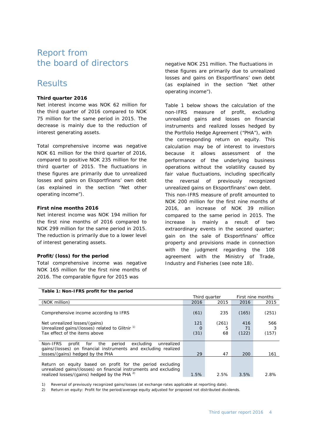## Report from the board of directors

## Results

#### **Third quarter 2016**

Net interest income was NOK 62 million for the third quarter of 2016 compared to NOK 75 million for the same period in 2015. The decrease is mainly due to the reduction of interest generating assets.

Total comprehensive income was negative NOK 61 million for the third quarter of 2016, compared to positive NOK 235 million for the third quarter of 2015. The fluctuations in these figures are primarily due to unrealized losses and gains on Eksportfinans' own debt (as explained in the section "Net other operating income").

#### **First nine months 2016**

Net interest income was NOK 194 million for the first nine months of 2016 compared to NOK 299 million for the same period in 2015. The reduction is primarily due to a lower level of interest generating assets.

#### **Profit/(loss) for the period**

Total comprehensive income was negative NOK 165 million for the first nine months of 2016. The comparable figure for 2015 was

negative NOK 251 million. The fluctuations in these figures are primarily due to unrealized losses and gains on Eksportfinans' own debt (as explained in the section "Net other operating income").

Table 1 below shows the calculation of the non-IFRS measure of profit, excluding unrealized gains and losses on financial instruments and realized losses hedged by the Portfolio Hedge Agreement ("PHA"), with the corresponding return on equity. This calculation may be of interest to investors because it allows assessment of the performance of the underlying business operations without the volatility caused by fair value fluctuations, including specifically the reversal of previously recognized unrealized gains on Eksportfinans' own debt. This non-IFRS measure of profit amounted to NOK 200 million for the first nine months of 2016, an increase of NOK 39 million compared to the same period in 2015. The increase is mainly a result of two extraordinary events in the second quarter; gain on the sale of Eksportfinans' office property and provisions made in connection with the judgment regarding the 108 agreement with the Ministry of Trade, Industry and Fisheries (see note 18).

| Table 1: Non-IFRS profit for the period                                                                                                                                                  |      |               |       |                   |
|------------------------------------------------------------------------------------------------------------------------------------------------------------------------------------------|------|---------------|-------|-------------------|
|                                                                                                                                                                                          |      | Third quarter |       | First nine months |
| (NOK million)                                                                                                                                                                            | 2016 | 2015          | 2016  | 2015              |
| Comprehensive income according to IFRS                                                                                                                                                   | (61) | 235           | (165) | (251)             |
| Net unrealized losses/(gains)                                                                                                                                                            | 121  | (261)         | 416   | 566               |
| Unrealized gains/(losses) related to Glitnir <sup>1)</sup>                                                                                                                               | O    | 5             | 71    |                   |
| Tax effect of the items above                                                                                                                                                            | (31) | 68            | (122) | (157)             |
|                                                                                                                                                                                          |      |               |       |                   |
| Non-IFRS<br>for the<br>excluding<br>profit<br>period<br>unrealized<br>gains/(losses) on financial instruments and excluding realized                                                     |      |               |       |                   |
| losses/(gains) hedged by the PHA                                                                                                                                                         | 29   | 47            | 200   | 161               |
| Return on equity based on profit for the period excluding<br>unrealized gains/(losses) on financial instruments and excluding<br>realized losses/(gains) hedged by the PHA <sup>2)</sup> | 1.5% | 2.5%          | 3.5%  | 2.8%              |
|                                                                                                                                                                                          |      |               |       |                   |

1) Reversal of previously recognized gains/losses (at exchange rates applicable at reporting date).

2) Return on equity: Profit for the period/average equity adjusted for proposed not distributed dividends.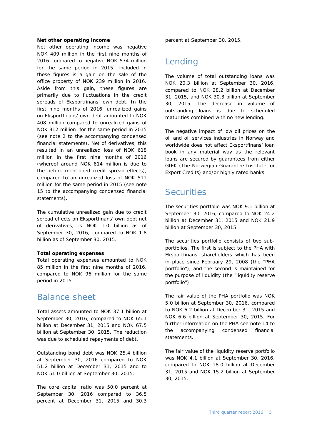#### **Net other operating income**

Net other operating income was negative NOK 409 million in the first nine months of 2016 compared to negative NOK 574 million for the same period in 2015. Included in these figures is a gain on the sale of the office property of NOK 239 million in 2016. Aside from this gain, these figures are primarily due to fluctuations in the credit spreads of Eksportfinans' own debt. In the first nine months of 2016, unrealized gains on Eksportfinans' own debt amounted to NOK 408 million compared to unrealized gains of NOK 312 million for the same period in 2015 (see note 2 to the accompanying condensed financial statements). Net of derivatives, this resulted in an unrealized loss of NOK 618 million in the first nine months of 2016 (whereof around NOK 614 million is due to the before mentioned credit spread effects), compared to an unrealized loss of NOK 511 million for the same period in 2015 (see note 15 to the accompanying condensed financial statements).

The cumulative unrealized gain due to credit spread effects on Eksportfinans' own debt net of derivatives, is NOK 1.0 billion as of September 30, 2016, compared to NOK 1.8 billion as of September 30, 2015.

#### **Total operating expenses**

Total operating expenses amounted to NOK 85 million in the first nine months of 2016, compared to NOK 96 million for the same period in 2015.

## Balance sheet

Total assets amounted to NOK 37.1 billion at September 30, 2016, compared to NOK 65.1 billion at December 31, 2015 and NOK 67.5 billion at September 30, 2015. The reduction was due to scheduled repayments of debt.

Outstanding bond debt was NOK 25.4 billion at September 30, 2016 compared to NOK 51.2 billion at December 31, 2015 and to NOK 51.0 billion at September 30, 2015.

The core capital ratio was 50.0 percent at September 30, 2016 compared to 36.5 percent at December 31, 2015 and 30.3

percent at September 30, 2015.

## Lending

The volume of total outstanding loans was NOK 20.3 billion at September 30, 2016, compared to NOK 28.2 billion at December 31, 2015, and NOK 30.3 billion at September 30, 2015. The decrease in volume of outstanding loans is due to scheduled maturities combined with no new lending.

The negative impact of low oil prices on the oil and oil services industries in Norway and worldwide does not affect Eksportfinans' loan book in any material way as the relevant loans are secured by guarantees from either GIEK (The Norwegian Guarantee Institute for Export Credits) and/or highly rated banks.

## **Securities**

The securities portfolio was NOK 9.1 billion at September 30, 2016, compared to NOK 24.2 billion at December 31, 2015 and NOK 21.9 billion at September 30, 2015.

The securities portfolio consists of two subportfolios. The first is subject to the PHA with Eksportfinans' shareholders which has been in place since February 29, 2008 (the "PHA portfolio"), and the second is maintained for the purpose of liquidity (the "liquidity reserve portfolio").

The fair value of the PHA portfolio was NOK 5.0 billion at September 30, 2016, compared to NOK 6.2 billion at December 31, 2015 and NOK 6.6 billion at September 30, 2015. For further information on the PHA see note 14 to the accompanying condensed financial statements.

The fair value of the liquidity reserve portfolio was NOK 4.1 billion at September 30, 2016, compared to NOK 18.0 billion at December 31, 2015 and NOK 15.2 billion at September 30, 2015.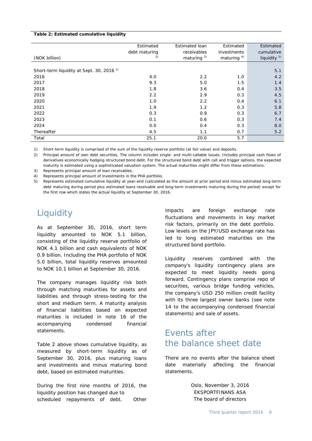#### **Table 2: Estimated cumulative liquidity**

|                                                      | Estimated     | Estimated loan | Estimated              | Estimated               |
|------------------------------------------------------|---------------|----------------|------------------------|-------------------------|
|                                                      | debt maturing | receivables    | investments            | cumulative              |
| (NOK billion)                                        | 2)            | maturing $3$ ) | maturing <sup>4)</sup> | liquidity <sup>5)</sup> |
|                                                      |               |                |                        |                         |
| Short-term liquidity at Sept. 30, 2016 <sup>1)</sup> |               |                |                        | 5.1                     |
| 2016                                                 | 4.0           | 2.2            | 1.0                    | 4.2                     |
| 2017                                                 | 9.3           | 5.0            | 1.5                    | 1.4                     |
| 2018                                                 | 1.8           | 3.6            | 0.4                    | 3.5                     |
| 2019                                                 | 2.2           | 2.9            | 0.3                    | 4.5                     |
| 2020                                                 | 1.0           | 2.2            | 0.4                    | 6.1                     |
| 2021                                                 | 1.9           | 1.2            | 0.3                    | 5.8                     |
| 2022                                                 | 0.3           | 0.9            | 0.3                    | 6.7                     |
| 2023                                                 | 0.1           | 0.6            | 0.3                    | 7.4                     |
| 2024                                                 | 0.0           | 0.4            | 0.3                    | 8.0                     |
| Thereafter                                           | 4.5           | 1.1            | 0.7                    | 5.2                     |
| Total                                                | 25.1          | 20.0           | 5.7                    |                         |

1) Short-term liquidity is comprised of the sum of the liquidity reserve portfolio (at fair value) and deposits.

2) Principal amount of own debt securities. The column includes single- and multi-callable issues. Includes principal cash flows of derivatives economically hedging structured bond debt. For the structured bond debt with call and trigger options, the expected maturity is estimated using a sophisticated valuation system. The actual maturities might differ from these estimations.

3) Represents principal amount of loan receivables.

4) Represents principal amount of investments in the PHA portfolio.

5) Represents estimated cumulative liquidity at year-end (calculated as the amount at prior period end minus estimated long-term debt maturing during period plus estimated loans receivable and long-term investments maturing during the period) except for the first row which states the actual liquidity at September 30, 2016.

## **Liquidity**

As at September 30, 2016, short term liquidity amounted to NOK 5.1 billion, consisting of the liquidity reserve portfolio of NOK 4.1 billion and cash equivalents of NOK 0.9 billion. Including the PHA portfolio of NOK 5.0 billion, total liquidity reserves amounted to NOK 10.1 billion at September 30, 2016.

The company manages liquidity risk both through matching maturities for assets and liabilities and through stress-testing for the short and medium term. A maturity analysis of financial liabilities based on expected maturities is included in note 16 of the accompanying condensed financial statements.

Table 2 above shows cumulative liquidity, as measured by short-term liquidity as of September 30, 2016, plus maturing loans and investments and minus maturing bond debt, based on estimated maturities.

During the first nine months of 2016, the liquidity position has changed due to scheduled repayments of debt. Other

impacts are foreign exchange rate fluctuations and movements in key market risk factors, primarily on the debt portfolio. Low levels on the JPY/USD exchange rate has led to long estimated maturities on the structured bond portfolio.

Liquidity reserves combined with the company's liquidity contingency plans are expected to meet liquidity needs going forward. Contingency plans comprise repo of securities, various bridge funding vehicles, the company's USD 250 million credit facility with its three largest owner banks (see note 14 to the accompanying condensed financial statements) and sale of assets.

## Events after the balance sheet date

There are no events after the balance sheet date materially affecting the financial statements.

> Oslo, November 3, 2016 EKSPORTFINANS ASA The board of directors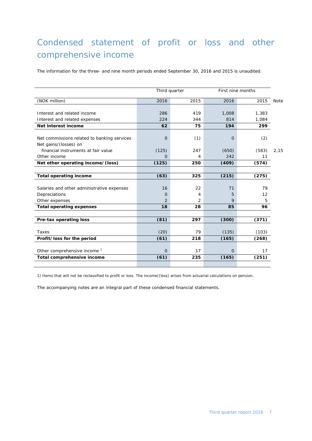## Condensed statement of profit or loss and other comprehensive income

The information for the three- and nine month periods ended September 30, 2016 and 2015 is unaudited.

|                                             |                | Third quarter |                | First nine months |             |
|---------------------------------------------|----------------|---------------|----------------|-------------------|-------------|
| (NOK million)                               | 2016           | 2015          | 2016           | 2015              | <b>Note</b> |
|                                             |                |               |                |                   |             |
| Interest and related income                 | 286            | 419           | 1,008          | 1,383             |             |
| Interest and related expenses               | 224            | 344           | 814            | 1,084             |             |
| Net interest income                         | 62             | 75            | 194            | 299               |             |
|                                             |                |               |                |                   |             |
| Net commissions related to banking services | O              | (1)           | $\Omega$       | (2)               |             |
| Net gains/(losses) on                       |                |               |                |                   |             |
| financial instruments at fair value         | (125)          | 247           | (650)          | (583)             | 2,15        |
| Other income                                | $\Omega$       | 4             | 242            | 11                |             |
| Net other operating income/(loss)           | (125)          | 250           | (409)          | (574)             |             |
|                                             |                |               |                |                   |             |
| <b>Total operating income</b>               | (63)           | 325           | (215)          | (275)             |             |
|                                             |                |               |                |                   |             |
| Salaries and other administrative expenses  | 16             | 22            | 71             | 79                |             |
| Depreciations                               | $\Omega$       | 4             | 5              | 12                |             |
| Other expenses                              | $\overline{2}$ | 2             | 9              | 5                 |             |
| <b>Total operating expenses</b>             | 18             | 28            | 85             | 96                |             |
|                                             |                |               |                |                   |             |
| Pre-tax operating loss                      | (81)           | 297           | (300)          | (371)             |             |
|                                             |                |               |                |                   |             |
| Taxes                                       | (20)           | 79            | (135)          | (103)             |             |
| Profit/loss for the period                  | (61)           | 218           | (165)          | (268)             |             |
|                                             |                |               |                |                   |             |
| Other comprehensive income <sup>1</sup>     | $\overline{O}$ | 17            | $\overline{O}$ | 17                |             |
| Total comprehensive income                  | (61)           | 235           | (165)          | (251)             |             |
|                                             |                |               |                |                   |             |

1) Items that will not be reclassified to profit or loss. The income/(loss) arises from actuarial calculations on pension.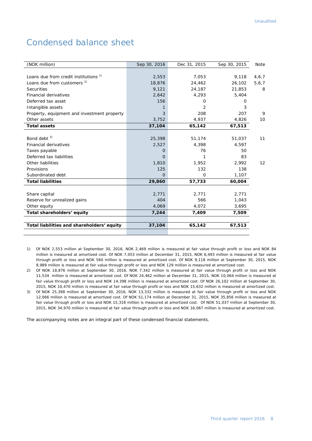## Condensed balance sheet

| (NOK million)                               | Sep 30, 2016 | Dec 31, 2015 | Sep 30, 2015 | Note  |
|---------------------------------------------|--------------|--------------|--------------|-------|
|                                             |              |              |              |       |
| Loans due from credit institutions 1)       | 2,553        | 7,053        | 9,118        | 4,6,7 |
| Loans due from customers <sup>2)</sup>      | 18,876       | 24,462       | 26,102       | 5,6,7 |
| <b>Securities</b>                           | 9,121        | 24,187       | 21,853       | 8     |
| <b>Financial derivatives</b>                | 2,642        | 4,293        | 5,404        |       |
| Deferred tax asset                          | 156          | 0            | $\Omega$     |       |
| Intangible assets                           | 1            | 2            | 3            |       |
| Property, equipment and investment property | 3            | 208          | 207          | 9     |
| Other assets                                | 3,752        | 4,937        | 4,826        | 10    |
| <b>Total assets</b>                         | 37,104       | 65,142       | 67,513       |       |
|                                             |              |              |              |       |
| Bond debt $3)$                              | 25,398       | 51,174       | 51,037       | 11    |
| <b>Financial derivatives</b>                | 2,527        | 4,398        | 4,597        |       |
| Taxes payable                               | Ο            | 76           | 50           |       |
| Deferred tax liabilities                    | 0            |              | 83           |       |
| Other liabilities                           | 1,810        | 1,952        | 2,992        | 12    |
| Provisions                                  | 125          | 132          | 138          |       |
| Subordinated debt                           | $\Omega$     | 0            | 1,107        |       |
| <b>Total liabilities</b>                    | 29,860       | 57,733       | 60,004       |       |
|                                             |              |              |              |       |
| Share capital                               | 2,771        | 2,771        | 2,771        |       |
| Reserve for unrealized gains                | 404          | 566          | 1,043        |       |
| Other equity                                | 4,069        | 4,072        | 3,695        |       |
| Total shareholders' equity                  | 7,244        | 7,409        | 7,509        |       |
|                                             |              |              |              |       |
| Total liabilities and shareholders' equity  | 37,104       | 65,142       | 67,513       |       |
|                                             |              |              |              |       |

1) Of NOK 2,553 million at September 30, 2016, NOK 2,469 million is measured at fair value through profit or loss and NOK 84 million is measured at amortized cost. Of NOK 7,053 million at December 31, 2015, NOK 6,493 million is measured at fair value through profit or loss and NOK 560 million is measured at amortized cost. Of NOK 9,118 million at September 30, 2015, NOK 8,989 million is measured at fair value through profit or loss and NOK 129 million is measured at amortized cost.

2) Of NOK 18,876 million at September 30, 2016, NOK 7,342 million is measured at fair value through profit or loss and NOK 11,534 million is measured at amortized cost. Of NOK 24,462 million at December 31, 2015, NOK 10,064 million is measured at fair value through profit or loss and NOK 14,398 million is measured at amortized cost. Of NOK 26,102 million at September 30, 2015, NOK 10,470 million is measured at fair value through profit or loss and NOK 15,632 million is measured at amortized cost.

3) Of NOK 25,398 million at September 30, 2016, NOK 13,332 million is measured at fair value through profit or loss and NOK 12,066 million is measured at amortized cost. Of NOK 51,174 million at December 31, 2015, NOK 35,856 million is measured at fair value through profit or loss and NOK 15,318 million is measured at amortized cost. Of NOK 51,037 million at September 30, 2015, NOK 34,970 million is measured at fair value through profit or loss and NOK 16,067 million is measured at amortized cost.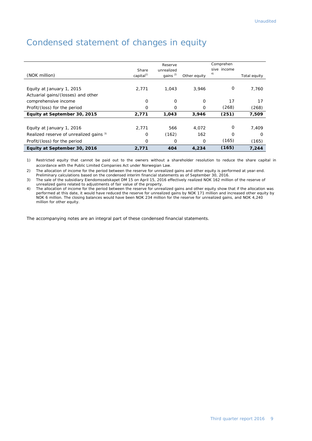| Equity at September 30, 2016            | 2,771                          | 404                                    | 4,234        | (165)                          | 7,244        |
|-----------------------------------------|--------------------------------|----------------------------------------|--------------|--------------------------------|--------------|
| Profit/(loss) for the period            | 0                              | O                                      | 0            | (165)                          | (165)        |
| Realized reserve of unrealized gains 3) | 0                              | (162)                                  | 162          | $\Omega$                       | $\Omega$     |
| Equity at January 1, 2016               | 2,771                          | 566                                    | 4.072        | $\Omega$                       | 7,409        |
| Equity at September 30, 2015            | 2,771                          | 1,043                                  | 3,946        | (251)                          | 7,509        |
| Profit/(loss) for the period            | 0                              | $\Omega$                               | 0            | (268)                          | (268)        |
| comprehensive income                    | 0                              | O                                      | 0            | 17                             | 17           |
| Actuarial gains/(losses) and other      |                                |                                        |              |                                |              |
| Equity at January 1, 2015               | 2.771                          | 1.043                                  | 3,946        | 0                              | 7,760        |
| (NOK million)                           | Share<br>capital <sup>1)</sup> | Reserve<br>unrealized<br>gains $^{2)}$ | Other equity | Comprehen<br>sive income<br>4) | Total equity |

## Condensed statement of changes in equity

1) Restricted equity that cannot be paid out to the owners without a shareholder resolution to reduce the share capital in accordance with the Public Limited Companies Act under Norwegian Law.

2) The allocation of income for the period between the reserve for unrealized gains and other equity is performed at year-end.

Preliminary calculations based on the condensed interim financial statements as of September 30, 2016.

3) The sale of the subsidiary Eiendomsselskapet DM 15 on April 15, 2016 effectively realized NOK 162 million of the reserve of unrealized gains related to adjustments of fair value of the property.

4) The allocation of income for the period between the reserve for unrealized gains and other equity show that if the allocation was performed at this date, it would have reduced the reserve for unrealized gains by NOK 171 million and increased other equity by NOK 6 million. The closing balances would have been NOK 234 million for the reserve for unrealized gains, and NOK 4,240 million for other equity.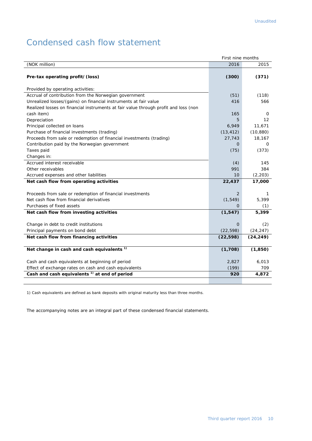## Condensed cash flow statement

|                                                                                     | First nine months |                   |
|-------------------------------------------------------------------------------------|-------------------|-------------------|
| (NOK million)                                                                       | 2016              | 2015              |
| Pre-tax operating profit/(loss)                                                     | (300)             | (371)             |
| Provided by operating activities:                                                   |                   |                   |
| Accrual of contribution from the Norwegian government                               | (51)              | (118)             |
| Unrealized losses/(gains) on financial instruments at fair value                    | 416               | 566               |
| Realized losses on financial instruments at fair value through profit and loss (non |                   |                   |
| cash item)                                                                          | 165               | 0                 |
| Depreciation                                                                        | 5                 | $12 \overline{ }$ |
| Principal collected on loans                                                        | 6,949             | 11,671            |
| Purchase of financial investments (trading)                                         | (13, 412)         | (10, 880)         |
| Proceeds from sale or redemption of financial investments (trading)                 | 27,743            | 18,167            |
| Contribution paid by the Norwegian government                                       | 0                 | 0                 |
| Taxes paid                                                                          | (75)              | (373)             |
| Changes in:                                                                         |                   |                   |
| Accrued interest receivable                                                         | (4)               | 145               |
| Other receivables                                                                   | 991               | 384               |
| Accrued expenses and other liabilities                                              | 10                | (2, 203)          |
| Net cash flow from operating activities                                             | 22,437            | 17,000            |
|                                                                                     |                   |                   |
| Proceeds from sale or redemption of financial investments                           | 2                 | 1                 |
| Net cash flow from financial derivatives                                            | (1, 549)          | 5,399             |
| Purchases of fixed assets                                                           | $\overline{O}$    | (1)               |
| Net cash flow from investing activities                                             | (1, 547)          | 5,399             |
| Change in debt to credit institutions                                               | $\Omega$          | (2)               |
| Principal payments on bond debt                                                     | (22, 598)         | (24, 247)         |
| Net cash flow from financing activities                                             | (22, 598)         | (24, 249)         |
|                                                                                     |                   |                   |
| Net change in cash and cash equivalents <sup>1)</sup>                               | (1,708)           | (1, 850)          |
|                                                                                     |                   |                   |
| Cash and cash equivalents at beginning of period                                    | 2,827             | 6,013             |
| Effect of exchange rates on cash and cash equivalents                               | (199)             | 709               |
| Cash and cash equivalents <sup>1)</sup> at end of period                            | 920               | 4,872             |

1) Cash equivalents are defined as bank deposits with original maturity less than three months.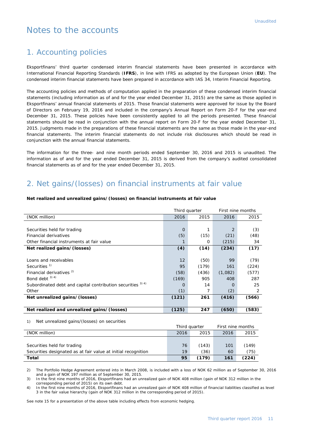## Notes to the accounts

#### 1. Accounting policies

Eksportfinans' third quarter condensed interim financial statements have been presented in accordance with International Financial Reporting Standards (**IFRS**), in line with IFRS as adopted by the European Union (**EU**). The condensed interim financial statements have been prepared in accordance with IAS 34, Interim Financial Reporting.

The accounting policies and methods of computation applied in the preparation of these condensed interim financial statements (including information as of and for the year ended December 31, 2015) are the same as those applied in Eksportfinans' annual financial statements of 2015. Those financial statements were approved for issue by the Board of Directors on February 19, 2016 and included in the company's Annual Report on Form 20-F for the year-end December 31, 2015. These policies have been consistently applied to all the periods presented. These financial statements should be read in conjunction with the annual report on Form 20-F for the year ended December 31, 2015. Judgments made in the preparations of these financial statements are the same as those made in the year-end financial statements. The interim financial statements do not include risk disclosures which should be read in conjunction with the annual financial statements.

The information for the three- and nine month periods ended September 30, 2016 and 2015 is unaudited. The information as of and for the year ended December 31, 2015 is derived from the company's audited consolidated financial statements as of and for the year ended December 31, 2015.

## 2. Net gains/(losses) on financial instruments at fair value

| Third quarter                                               |          | First nine months |          |       |
|-------------------------------------------------------------|----------|-------------------|----------|-------|
| (NOK million)                                               | 2016     | 2015              | 2016     | 2015  |
|                                                             |          |                   |          |       |
| Securities held for trading                                 | $\Omega$ |                   | 2        | (3)   |
| <b>Financial derivatives</b>                                | (5)      | (15)              | (21)     | (48)  |
| Other financial instruments at fair value                   |          | O                 | (215)    | 34    |
| Net realized gains/(losses)                                 | (4)      | (14)              | (234)    | (17)  |
|                                                             |          |                   |          |       |
| Loans and receivables                                       | 12       | (50)              | 99       | (79)  |
| Securities <sup>1)</sup>                                    | 95       | (179)             | 161      | (224) |
| Financial derivatives <sup>2)</sup>                         | (58)     | (436)             | (1,082)  | (577) |
| Bond debt 3) 4)                                             | (169)    | 905               | 408      | 287   |
| Subordinated debt and capital contribution securities 3) 4) | O        | 14                | $\Omega$ | 25    |
| Other                                                       | (1)      | 7                 | (2)      | 2     |
| Net unrealized gains/(losses)                               | (121)    | 261               | (416)    | (566) |
|                                                             |          |                   |          |       |
| Net realized and unrealized gains/(losses)                  | (125)    | 247               | (650)    | (583) |
|                                                             |          |                   |          |       |

#### **Net realized and unrealized gains/(losses) on financial instruments at fair value**

1) Net unrealized gains/(losses) on securities

|                                                               |      | First nine months<br>Third quarter |      |       |
|---------------------------------------------------------------|------|------------------------------------|------|-------|
| (NOK million)                                                 | 2016 | 2015                               | 2016 | 2015  |
|                                                               |      |                                    |      |       |
| Securities held for trading                                   | 76   | (143)                              | 101  | (149) |
| Securities designated as at fair value at initial recognition | 19   | (36)                               | 60   | (75)  |
| Total                                                         | 95   | (179)                              | 161  | (224) |

2) The Portfolio Hedge Agreement entered into in March 2008, is included with a loss of NOK 62 million as of September 30, 2016 and a gain of NOK 197 million as of September 30, 2015.

3) In the first nine months of 2016, Eksportfinans had an unrealized gain of NOK 408 million (gain of NOK 312 million in the corresponding period of 2015) on its own debt.

4) In the first nine months of 2016, Eksportfinans had an unrealized gain of NOK 408 million of financial liabilities classified as level 3 in the fair value hierarchy (gain of NOK 312 million in the corresponding period of 2015).

See note 15 for a presentation of the above table including effects from economic hedging.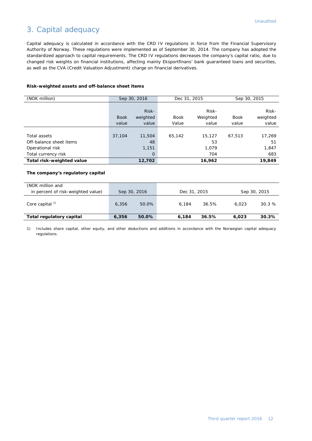## 3. Capital adequacy

Capital adequacy is calculated in accordance with the CRD IV regulations in force from the Financial Supervisory Authority of Norway. These regulations were implemented as of September 30, 2014. The company has adopted the standardized approach to capital requirements. The CRD IV regulations decreases the company's capital ratio, due to changed risk weights on financial institutions, affecting mainly Eksportfinans' bank guaranteed loans and securities, as well as the CVA (Credit Valuation Adjustment) charge on financial derivatives.

#### **Risk-weighted assets and off-balance sheet items**

| (NOK million)             | Sep 30, 2016 |          | Dec 31, 2015 |          | Sep 30, 2015 |          |
|---------------------------|--------------|----------|--------------|----------|--------------|----------|
|                           |              |          |              |          |              |          |
|                           |              | Risk-    |              | Risk-    |              | Risk-    |
|                           | <b>Book</b>  | weighted | <b>Book</b>  | Weighted | <b>Book</b>  | weighted |
|                           | value        | value    | Value        | value    | value        | value    |
|                           |              |          |              |          |              |          |
| Total assets              | 37,104       | 11,504   | 65,142       | 15,127   | 67,513       | 17,269   |
| Off-balance sheet items   |              | 48       |              | 53       |              | 51       |
| Operational risk          |              | 1,151    |              | 1.079    |              | 1,847    |
| Total currency risk       |              | 0        |              | 704      |              | 683      |
| Total risk-weighted value |              | 12,702   |              | 16,962   |              | 19,849   |

#### **The company's regulatory capital**

| (NOK million and<br>in percent of risk-weighted value) |       | Sep 30, 2016 |       | Dec 31, 2015 |       | Sep 30, 2015 |
|--------------------------------------------------------|-------|--------------|-------|--------------|-------|--------------|
| Core capital <sup>1)</sup>                             | 6,356 | 50.0%        | 6.184 | 36.5%        | 6.023 | 30.3%        |
| Total regulatory capital                               | 6,356 | 50.0%        | 6.184 | 36.5%        | 6.023 | 30.3%        |

1) Includes share capital, other equity, and other deductions and additions in accordance with the Norwegian capital adequacy regulations.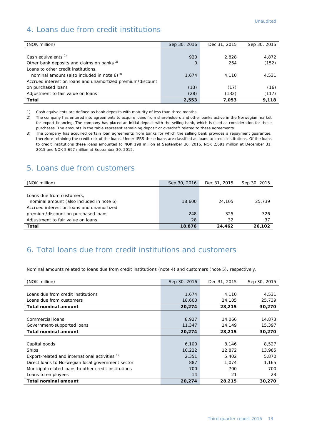## 4. Loans due from credit institutions

| (NOK million)                                              | Sep 30, 2016 | Dec 31, 2015 | Sep 30, 2015 |
|------------------------------------------------------------|--------------|--------------|--------------|
|                                                            |              |              |              |
| Cash equivalents <sup>1)</sup>                             | 920          | 2.828        | 4,872        |
| Other bank deposits and claims on banks <sup>2)</sup>      | $\Omega$     | 264          | (152)        |
| Loans to other credit institutions,                        |              |              |              |
| nominal amount (also included in note 6) $3$ )             | 1,674        | 4,110        | 4,531        |
| Accrued interest on loans and unamortized premium/discount |              |              |              |
| on purchased loans                                         | (13)         | (17)         | (16)         |
| Adjustment to fair value on loans                          | (28)         | (132)        | (117)        |
| Total                                                      | 2,553        | 7,053        | 9.118        |

1) Cash equivalents are defined as bank deposits with maturity of less than three months.

2) The company has entered into agreements to acquire loans from shareholders and other banks active in the Norwegian market for export financing. The company has placed an initial deposit with the selling bank, which is used as consideration for these purchases. The amounts in the table represent remaining deposit or overdraft related to these agreements.

3) The company has acquired certain loan agreements from banks for which the selling bank provides a repayment guarantee, therefore retaining the credit risk of the loans. Under IFRS these loans are classified as loans to credit institutions. Of the loans to credit institutions these loans amounted to NOK 198 million at September 30, 2016, NOK 2,691 million at December 31, 2015 and NOK 2,697 million at September 30, 2015.

#### 5. Loans due from customers

| (NOK million)                                                                                                      | Sep 30, 2016 | Dec 31, 2015 | Sep 30, 2015 |
|--------------------------------------------------------------------------------------------------------------------|--------------|--------------|--------------|
| Loans due from customers,<br>nominal amount (also included in note 6)<br>Accrued interest on loans and unamortized | 18,600       | 24,105       | 25,739       |
| premium/discount on purchased loans                                                                                | 248          | 325          | 326          |
| Adjustment to fair value on loans                                                                                  | 28           | 32           | 37           |
| Total                                                                                                              | 18,876       | 24.462       | 26,102       |

#### 6. Total loans due from credit institutions and customers

Nominal amounts related to loans due from credit institutions (note 4) and customers (note 5), respectively.

| (NOK million)                                             | Sep 30, 2016 | Dec 31, 2015 | Sep 30, 2015 |
|-----------------------------------------------------------|--------------|--------------|--------------|
|                                                           |              |              |              |
| Loans due from credit institutions                        | 1,674        | 4,110        | 4,531        |
| Loans due from customers                                  | 18,600       | 24,105       | 25,739       |
| <b>Total nominal amount</b>                               | 20,274       | 28,215       | 30,270       |
|                                                           |              |              |              |
| Commercial loans                                          | 8,927        | 14,066       | 14,873       |
| Government-supported loans                                | 11,347       | 14,149       | 15,397       |
| <b>Total nominal amount</b>                               | 20,274       | 28,215       | 30,270       |
|                                                           |              |              |              |
| Capital goods                                             | 6,100        | 8,146        | 8,527        |
| <b>Ships</b>                                              | 10,222       | 12,872       | 13,985       |
| Export-related and international activities <sup>1)</sup> | 2,351        | 5,402        | 5,870        |
| Direct loans to Norwegian local government sector         | 887          | 1,074        | 1,165        |
| Municipal-related loans to other credit institutions      | 700          | 700          | 700          |
| Loans to employees                                        | 14           | 21           | 23           |
| <b>Total nominal amount</b>                               | 20,274       | 28,215       | 30,270       |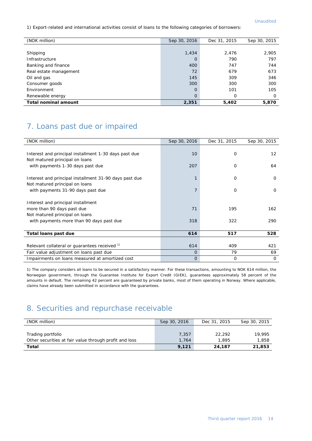1) Export-related and international activities consist of loans to the following categories of borrowers:

| (NOK million)               | Sep 30, 2016   | Dec 31, 2015 | Sep 30, 2015 |
|-----------------------------|----------------|--------------|--------------|
|                             |                |              |              |
| Shipping                    | 1,434          | 2,476        | 2,905        |
| Infrastructure              | $\mathbf 0$    | 790          | 797          |
| Banking and finance         | 400            | 747          | 744          |
| Real estate management      | 72             | 679          | 673          |
| Oil and gas                 | 145            | 309          | 346          |
| Consumer goods              | 300            | 300          | 300          |
| Environment                 | $\circ$        | 101          | 105          |
| Renewable energy            | $\overline{O}$ | 0            | 0            |
| <b>Total nominal amount</b> | 2,351          | 5,402        | 5,870        |

## 7. Loans past due or impaired

| (NOK million)                                          | Sep 30, 2016   | Dec 31, 2015 | Sep 30, 2015      |
|--------------------------------------------------------|----------------|--------------|-------------------|
|                                                        |                |              |                   |
| Interest and principal installment 1-30 days past due  | 10             | 0            | $12 \overline{ }$ |
| Not matured principal on loans                         |                |              |                   |
| with payments 1-30 days past due                       | 207            | 0            | 64                |
|                                                        |                |              |                   |
| Interest and principal installment 31-90 days past due | 1              | 0            | $\Omega$          |
| Not matured principal on loans                         |                |              |                   |
| with payments 31-90 days past due                      | $\overline{7}$ | 0            | $\mathbf 0$       |
|                                                        |                |              |                   |
| Interest and principal installment                     |                |              |                   |
| more than 90 days past due                             | 71             | 195          | 162               |
| Not matured principal on loans                         |                |              |                   |
| with payments more than 90 days past due               | 318            | 322          | 290               |
|                                                        |                |              |                   |
| Total loans past due                                   | 614            | 517          | 528               |
|                                                        |                |              |                   |
| Relevant collateral or guarantees received 1)          | 614            | 409          | 421               |
| Fair value adjustment on loans past due                | $\Omega$       | 79           | 69                |
| Impairments on loans measured at amortized cost        | $\Omega$       | $\mathbf 0$  | $\Omega$          |

1) The company considers all loans to be secured in a satisfactory manner. For these transactions, amounting to NOK 614 million, the Norwegian government, through the Guarantee Institute for Export Credit (GIEK), guarantees approximately 58 percent of the amounts in default. The remaining 42 percent are guaranteed by private banks, most of them operating in Norway. Where applicable, claims have already been submitted in accordance with the guarantees.

## 8. Securities and repurchase receivable

| (NOK million)                                          | Sep 30, 2016 | Dec 31, 2015 | Sep 30, 2015 |
|--------------------------------------------------------|--------------|--------------|--------------|
|                                                        |              |              |              |
| Trading portfolio                                      | 7.357        | 22.292       | 19,995       |
| Other securities at fair value through profit and loss | 1.764        | 1,895        | 1,858        |
| Total                                                  | 9.121        | 24,187       | 21,853       |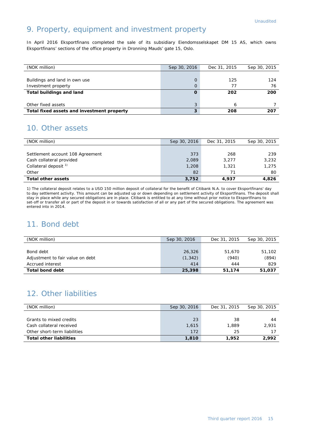## 9. Property, equipment and investment property

In April 2016 Eksportfinans completed the sale of its subsidiary Eiendomsselskapet DM 15 AS, which owns Eksportfinans' sections of the office property in Dronning Mauds' gate 15, Oslo.

| (NOK million)                              | Sep 30, 2016 | Dec 31, 2015 | Sep 30, 2015 |
|--------------------------------------------|--------------|--------------|--------------|
|                                            |              |              |              |
| Buildings and land in own use              | $\Omega$     | 125          | 124          |
| Investment property                        | $\Omega$     | 77           | 76           |
| <b>Total buildings and land</b>            |              | 202          | 200          |
|                                            |              |              |              |
| Other fixed assets                         | 3            | h            |              |
| Total fixed assets and investment property | 3            | 208          | 207          |

## 10. Other assets

| (NOK million)                    | Sep 30, 2016 | Dec 31, 2015 | Sep 30, 2015 |
|----------------------------------|--------------|--------------|--------------|
|                                  |              |              |              |
| Settlement account 108 Agreement | 373          | 268          | 239          |
| Cash collateral provided         | 2,089        | 3,277        | 3,232        |
| Collateral deposit <sup>1)</sup> | 1,208        | 1,321        | 1,275        |
| Other                            | 82           | 71           | 80           |
| <b>Total other assets</b>        | 3,752        | 4,937        | 4,826        |

1) The collateral deposit relates to a USD 150 million deposit of collateral for the benefit of Citibank N.A. to cover Eksportfinans' day to day settlement activity. This amount can be adjusted up or down depending on settlement activity of Eksportfinans. The deposit shall stay in place while any secured obligations are in place. Citibank is entitled to at any time without prior notice to Eksportfinans to set-off or transfer all or part of the deposit in or towards satisfaction of all or any part of the secured obligations. The agreement was entered into in 2014.

## 11. Bond debt

| (NOK million)                    | Sep 30, 2016 | Dec 31, 2015 | Sep 30, 2015 |
|----------------------------------|--------------|--------------|--------------|
|                                  |              |              |              |
| Bond debt                        | 26,326       | 51,670       | 51,102       |
| Adjustment to fair value on debt | (1, 342)     | (940)        | (894)        |
| Accrued interest                 | 414          | 444          | 829          |
| <b>Total bond debt</b>           | 25,398       | 51,174       | 51.037       |

## 12. Other liabilities

| (NOK million)                  | Sep 30, 2016 | Dec 31, 2015 | Sep 30, 2015 |
|--------------------------------|--------------|--------------|--------------|
|                                |              |              |              |
| Grants to mixed credits        | 23           | 38           | 44           |
| Cash collateral received       | 1,615        | 1,889        | 2,931        |
| Other short-term liabilities   | 172          | 25           | 17           |
| <b>Total other liabilities</b> | 1,810        | 1,952        | 2,992        |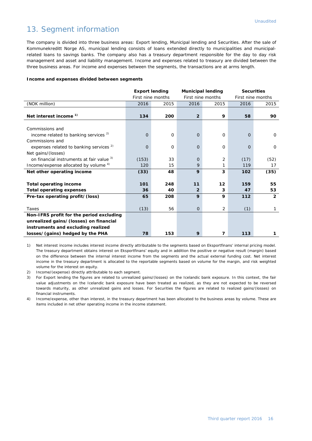#### 13. Segment information

The company is divided into three business areas: Export lending, Municipal lending and Securities. After the sale of Kommunekreditt Norge AS, municipal lending consists of loans extended directly to municipalities and municipalrelated loans to savings banks. The company also has a treasury department responsible for the day to day risk management and asset and liability management. Income and expenses related to treasury are divided between the three business areas. For income and expenses between the segments, the transactions are at arms length.

#### **Income and expenses divided between segments**

|                                                    | <b>Export lending</b> |                   | <b>Municipal lending</b> |             |                   | <b>Securities</b> |
|----------------------------------------------------|-----------------------|-------------------|--------------------------|-------------|-------------------|-------------------|
|                                                    |                       | First nine months | First nine months        |             | First nine months |                   |
| (NOK million)                                      | 2016                  | 2015              | 2016                     | 2015        | 2016              | 2015              |
|                                                    |                       |                   |                          |             |                   |                   |
| Net interest income <sup>1)</sup>                  | 134                   | 200               | $\overline{2}$           | 9           | 58                | 90                |
|                                                    |                       |                   |                          |             |                   |                   |
| Commissions and                                    |                       |                   |                          |             |                   |                   |
| income related to banking services <sup>2)</sup>   | $\Omega$              | $\Omega$          | $\Omega$                 | $\mathbf 0$ | $\Omega$          | $\mathbf 0$       |
| Commissions and                                    |                       |                   |                          |             |                   |                   |
| expenses related to banking services <sup>2)</sup> | $\mathbf 0$           | $\Omega$          | $\Omega$                 | $\mathbf 0$ | 0                 | 0                 |
| Net gains/(losses)                                 |                       |                   |                          |             |                   |                   |
| on financial instruments at fair value 3)          | (153)                 | 33                | $\Omega$                 | 2           | (17)              | (52)              |
| Income/expense allocated by volume 4)              | 120                   | 15                | 9                        | 1           | 119               | 17                |
| Net other operating income                         | (33)                  | 48                | 9                        | 3           | 102               | (35)              |
|                                                    |                       |                   |                          |             |                   |                   |
| <b>Total operating income</b>                      | 101                   | 248               | 11                       | 12          | 159               | 55                |
| <b>Total operating expenses</b>                    | 36                    | 40                | $\overline{2}$           | 3           | 47                | 53                |
| Pre-tax operating profit/(loss)                    | 65                    | 208               | 9                        | 9           | 112               | $\overline{2}$    |
|                                                    |                       |                   |                          |             |                   |                   |
| Taxes                                              | (13)                  | 56                | $\overline{0}$           | 2           | (1)               | 1                 |
| Non-IFRS profit for the period excluding           |                       |                   |                          |             |                   |                   |
| unrealized gains/(losses) on financial             |                       |                   |                          |             |                   |                   |
| instruments and excluding realized                 |                       |                   |                          |             |                   |                   |
| losses/(gains) hedged by the PHA                   | 78                    | 153               | 9                        | 7           | 113               | 1                 |

1) Net interest income includes interest income directly attributable to the segments based on Eksportfinans' internal pricing model. The treasury department obtains interest on Eksportfinans' equity and in addition the positive or negative result (margin) based on the difference between the internal interest income from the segments and the actual external funding cost. Net interest income in the treasury department is allocated to the reportable segments based on volume for the margin, and risk weighted volume for the interest on equity.

2) Income/(expense) directly attributable to each segment.

3) For Export lending the figures are related to unrealized gains/(losses) on the Icelandic bank exposure. In this context, the fair value adjustments on the Icelandic bank exposure have been treated as realized, as they are not expected to be reversed towards maturity, as other unrealized gains and losses. For Securities the figures are related to realized gains/(losses) on financial instruments.

4) Income/expense, other than interest, in the treasury department has been allocated to the business areas by volume. These are items included in net other operating income in the income statement.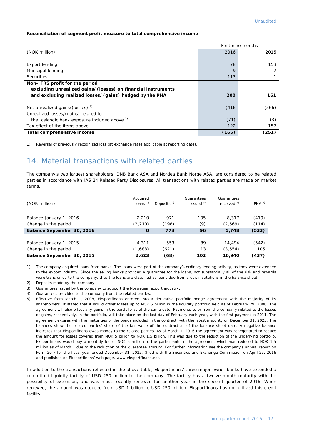#### **Reconciliation of segment profit measure to total comprehensive income**

|                                                              | First nine months |       |  |
|--------------------------------------------------------------|-------------------|-------|--|
| (NOK million)                                                | 2016              | 2015  |  |
|                                                              |                   |       |  |
| Export lending                                               | 78                | 153   |  |
| Municipal lending                                            | 9                 |       |  |
| <b>Securities</b>                                            | 113               |       |  |
| Non-IFRS profit for the period                               |                   |       |  |
| excluding unrealized gains/(losses) on financial instruments |                   |       |  |
| and excluding realized losses/(gains) hedged by the PHA      | 200               | 161   |  |
| Net unrealized gains/(losses) <sup>1)</sup>                  | (416)             | (566) |  |
| Unrealized losses/(gains) related to                         |                   |       |  |
| the Icelandic bank exposure included above <sup>1)</sup>     | (71)              | (3)   |  |
| Tax effect of the items above                                | 122               | 157   |  |
| Total comprehensive income                                   | (165)             | (251) |  |

1) Reversal of previously recognized loss (at exchange rates applicable at reporting date).

## 14. Material transactions with related parties

The company's two largest shareholders, DNB Bank ASA and Nordea Bank Norge ASA, are considered to be related parties in accordance with IAS 24 Related Party Disclosures. All transactions with related parties are made on market terms.

| (NOK million)              | Acquired<br>loans $1$ | Deposits $2$ | Guarantees<br>issued $3$ | Guarantees<br>received $4)$ | PHA <sup>5</sup> |
|----------------------------|-----------------------|--------------|--------------------------|-----------------------------|------------------|
|                            |                       |              |                          |                             |                  |
| Balance January 1, 2016    | 2.210                 | 971          | 105                      | 8.317                       | (419)            |
| Change in the period       | (2, 210)              | (198)        | (9)                      | (2,569)                     | (114)            |
| Balance September 30, 2016 | O                     | 773          | 96                       | 5,748                       | (533)            |
|                            |                       |              |                          |                             |                  |
| Balance January 1, 2015    | 4.311                 | 553          | 89                       | 14,494                      | (542)            |
| Change in the period       | (1,688)               | (621)        | 13                       | (3, 554)                    | 105              |
| Balance September 30, 2015 | 2,623                 | (68)         | 102                      | 10,940                      | (437)            |

1) The company acquired loans from banks. The loans were part of the company's ordinary lending activity, as they were extended to the export industry. Since the selling banks provided a guarantee for the loans, not substantially all of the risk and rewards were transferred to the company, thus the loans are classified as loans due from credit institutions in the balance sheet.

- 2) Deposits made by the company.
- 3) Guarantees issued by the company to support the Norwegian export industry.
- 4) Guarantees provided to the company from the related parties.
- 5) Effective from March 1, 2008, Eksportfinans entered into a derivative portfolio hedge agreement with the majority of its shareholders. It stated that it would offset losses up to NOK 5 billion in the liquidity portfolio held as of February 29, 2008. The agreement will also offset any gains in the portfolio as of the same date. Payments to or from the company related to the losses or gains, respectively, in the portfolio, will take place on the last day of February each year, with the first payment in 2011. The agreement expires with the maturities of the bonds included in the contract, with the latest maturity on December 31, 2023. The balances show the related parties' share of the fair value of the contract as of the balance sheet date. A negative balance indicates that Eksportfinans owes money to the related parties. As of March 1, 2016 the agreement was renegotiated to reduce the amount for losses covered from NOK 5 billion to NOK 1.5 billion. This was due to the reduction of the underlying portfolio. Eksportfinans would pay a monthly fee of NOK 5 million to the participants in the agreement which was reduced to NOK 1.5 million as of March 1 due to the reduction of the guarantee amount. For further information see the company's annual report on Form 20-F for the fiscal year ended December 31, 2015, (filed with the Securities and Exchange Commission on April 25, 2016 and published on Eksportfinans' web page, [www.eksportfinans.no\)](http://www.eksportfinans.no/).

In addition to the transactions reflected in the above table, Eksportfinans' three major owner banks have extended a committed liquidity facility of USD 250 million to the company. The facility has a twelve month maturity with the possibility of extension, and was most recently renewed for another year in the second quarter of 2016. When renewed, the amount was reduced from USD 1 billion to USD 250 million. Eksportfinans has not utilized this credit facility.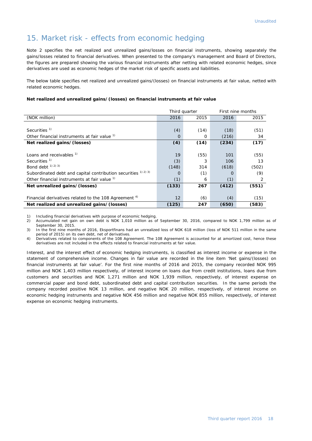#### 15. Market risk - effects from economic hedging

Note 2 specifies the net realized and unrealized gains/losses on financial instruments, showing separately the gains/losses related to financial derivatives. When presented to the company's management and Board of Directors, the figures are prepared showing the various financial instruments after netting with related economic hedges, since derivatives are used as economic hedges of the market risk of specific assets and liabilities.

The below table specifies net realized and unrealized gains/(losses) on financial instruments at fair value, netted with related economic hedges.

#### **Net realized and unrealized gains/(losses) on financial instruments at fair value**

|                                                                  | Third quarter |      |       | First nine months |
|------------------------------------------------------------------|---------------|------|-------|-------------------|
| (NOK million)                                                    | 2016          | 2015 | 2016  | 2015              |
|                                                                  |               |      |       |                   |
| Securities <sup>1)</sup>                                         | (4)           | (14) | (18)  | (51)              |
| Other financial instruments at fair value 1)                     | O             | 0    | (216) | 34                |
| Net realized gains/(losses)                                      | (4)           | (14) | (234) | (17)              |
|                                                                  |               |      |       |                   |
| Loans and receivables <sup>1)</sup>                              | 19            | (55) | 101   | (55)              |
| Securities <sup>1)</sup>                                         | (3)           | 3    | 106   | 13                |
| Bond debt <sup>1) 2) 3)</sup>                                    | (148)         | 314  | (618) | (502)             |
| Subordinated debt and capital contribution securities 1) 2) 3)   | $\Omega$      | (1)  | Ω     | (9)               |
| Other financial instruments at fair value <sup>1)</sup>          | (1)           | 6    | (1)   | 2                 |
| Net unrealized gains/(losses)                                    | (133)         | 267  | (412) | (551)             |
|                                                                  |               |      |       |                   |
| Financial derivatives related to the 108 Agreement <sup>4)</sup> | 12            | (6)  | (4)   | (15)              |
| Net realized and unrealized gains/(losses)                       | (125)         | 247  | (650) | (583)             |

1) Including financial derivatives with purpose of economic hedging.<br>2) Accumulated net gain on own debt is NOK 1.010 million as c

2) Accumulated net gain on own debt is NOK 1,010 million as of September 30, 2016, compared to NOK 1,799 million as of September 30, 2015.

3) In the first nine months of 2016, Eksportfinans had an unrealized loss of NOK 618 million (loss of NOK 511 million in the same period of 2015) on its own debt, net of derivatives.

4) Derivatives related to components of the 108 Agreement. The 108 Agreement is accounted for at amortized cost, hence these derivatives are not included in the effects related to financial instruments at fair value.

Interest, and the interest effect of economic hedging instruments, is classified as interest income or expense in the statement of comprehensive income. Changes in fair value are recorded in the line item 'Net gains/(losses) on financial instruments at fair value'. For the first nine months of 2016 and 2015, the company recorded NOK 995 million and NOK 1,403 million respectively, of interest income on loans due from credit institutions, loans due from customers and securities and NOK 1,271 million and NOK 1,939 million, respectively, of interest expense on commercial paper and bond debt, subordinated debt and capital contribution securities. In the same periods the company recorded positive NOK 13 million, and negative NOK 20 million, respectively, of interest income on economic hedging instruments and negative NOK 456 million and negative NOK 855 million, respectively, of interest expense on economic hedging instruments.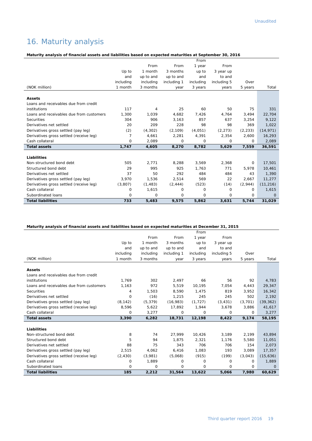## 16. Maturity analysis

#### **Maturity analysis of financial assets and liabilities based on expected maturities at September 30, 2016**

|                                          |           |           |             | From      |             |             |              |
|------------------------------------------|-----------|-----------|-------------|-----------|-------------|-------------|--------------|
|                                          |           | From      | From        | 1 year    | From        |             |              |
|                                          | Up to     | 1 month   | 3 months    | up to     | 3 year up   |             |              |
|                                          | and       | up to and | up to and   | and       | to and      |             |              |
|                                          | including | including | including 1 | including | including 5 | Over        |              |
| (NOK million)                            | 1 month   | 3 months  | year        | 3 years   | years       | 5 years     | Total        |
| <b>Assets</b>                            |           |           |             |           |             |             |              |
| Loans and receivables due from credit    |           |           |             |           |             |             |              |
| institutions                             | 117       | 4         | 25          | 60        | 50          | 75          | 331          |
| Loans and receivables due from customers | 1,300     | 1,039     | 4,682       | 7,426     | 4,764       | 3,494       | 22,704       |
| Securities                               | 304       | 906       | 3,163       | 857       | 637         | 3.254       | 9.122        |
| Derivatives net settled                  | 20        | 209       | 228         | 98        | 98          | 369         | 1.022        |
| Derivatives gross settled (pay leg)      | (2)       | (4, 302)  | (2, 109)    | (4,051)   | (2, 273)    | (2, 233)    | (14, 971)    |
| Derivatives gross settled (receive leg)  | 7         | 4,661     | 2,281       | 4,391     | 2,354       | 2,600       | 16,293       |
| Cash collateral                          | $\Omega$  | 2.089     | 0           | 0         | $\Omega$    | 0           | 2,089        |
| <b>Total assets</b>                      | 1,747     | 4,605     | 8,270       | 8,782     | 5,629       | 7,559       | 36,591       |
|                                          |           |           |             |           |             |             |              |
| Liabilities                              |           |           |             |           |             |             |              |
| Non-structured bond debt                 | 505       | 2,771     | 8,288       | 3,569     | 2,368       | 0           | 17,501       |
| Structured bond debt                     | 29        | 995       | 925         | 1.763     | 771         | 5.978       | 10.461       |
| Derivatives net settled                  | 37        | 50        | 292         | 484       | 484         | 43          | 1,390        |
| Derivatives gross settled (pay leg)      | 3,970     | 1,536     | 2,514       | 569       | 22          | 2.667       | 11,277       |
| Derivatives gross settled (receive leg)  | (3,807)   | (1, 483)  | (2, 444)    | (523)     | (14)        | (2,944)     | (11, 216)    |
| Cash collateral                          | 0         | 1,615     | 0           | 0         | $\Omega$    | 0           | 1,615        |
| Subordinated loans                       | 0         | 0         | 0           | 0         | 0           | $\mathbf 0$ | $\mathbf{0}$ |
| <b>Total liabilities</b>                 | 733       | 5,483     | 9,575       | 5,862     | 3,631       | 5,744       | 31,029       |

#### **Maturity analysis of financial assets and liabilities based on expected maturities at December 31, 2015**

|                                          |           |           |             | From      |             |          |           |
|------------------------------------------|-----------|-----------|-------------|-----------|-------------|----------|-----------|
|                                          |           | From      | From        | 1 year    | From        |          |           |
|                                          | Up to     | 1 month   | 3 months    | up to     | 3 year up   |          |           |
|                                          | and       | up to and | up to and   | and       | to and      |          |           |
|                                          | including | including | including 1 | including | including 5 | Over     |           |
| (NOK million)                            | 1 month   | 3 months  | year        | 3 years   | years       | 5 years  | Total     |
|                                          |           |           |             |           |             |          |           |
| <b>Assets</b>                            |           |           |             |           |             |          |           |
| Loans and receivables due from credit    |           |           |             |           |             |          |           |
| institutions                             | 1.769     | 302       | 2,497       | 66        | 56          | 92       | 4,783     |
| Loans and receivables due from customers | 1,163     | 972       | 5,519       | 10,195    | 7,054       | 4,443    | 29,347    |
| Securities                               | 4         | 1,503     | 8,590       | 1,475     | 819         | 3,952    | 16,342    |
| Derivatives net settled                  | 0         | (16)      | 1,215       | 245       | 245         | 502      | 2,192     |
| Derivatives gross settled (pay leg)      | (8, 142)  | (5, 379)  | (16,983)    | (1, 727)  | (3, 431)    | (3,701)  | (39, 362) |
| Derivatives gross settled (receive leg)  | 8,596     | 5,622     | 17,892      | 1,944     | 3,678       | 3,886    | 41,617    |
| Cash collateral                          | 0         | 3,277     | 0           | 0         | $\Omega$    | $\Omega$ | 3,277     |
| <b>Total assets</b>                      | 3,390     | 6,282     | 18,731      | 12,198    | 8,422       | 9,174    | 58,195    |
|                                          |           |           |             |           |             |          |           |
| Liabilities                              |           |           |             |           |             |          |           |
| Non-structured bond debt                 | 8         | 74        | 27.999      | 10,426    | 3,189       | 2,199    | 43,894    |
| Structured bond debt                     | 5         | 94        | 1.875       | 2,321     | 1,176       | 5,580    | 11,051    |
| Derivatives net settled                  | 88        | 75        | 343         | 706       | 706         | 154      | 2,073     |
| Derivatives gross settled (pay leg)      | 2,515     | 4,062     | 6,416       | 1,083     | 193         | 3.089    | 17,357    |
| Derivatives gross settled (receive leg)  | (2, 430)  | (3,981)   | (5,068)     | (915)     | (199)       | (3,043)  | (15,636)  |
| Cash collateral                          | 0         | 1,889     | 0           | 0         | $\Omega$    | $\Omega$ | 1,889     |
| Subordinated loans                       | 0         | 0         | 0           | 0         | $\Omega$    | $\Omega$ | $\Omega$  |
| <b>Total liabilities</b>                 | 185       | 2,212     | 31,564      | 13,622    | 5,066       | 7,980    | 60,629    |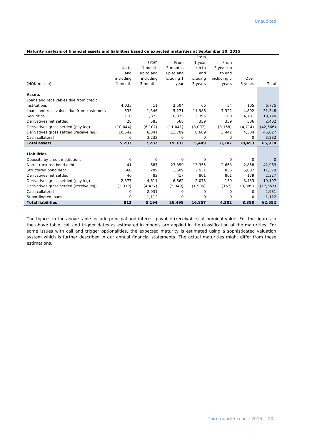#### **Maturity analysis of financial assets and liabilities based on expected maturities at September 30, 2015**

|                                          |           |           |             | From      |             |          |           |
|------------------------------------------|-----------|-----------|-------------|-----------|-------------|----------|-----------|
|                                          |           | From      | From        | 1 year    | From        |          |           |
|                                          | Up to     | 1 month   | 3 months    | up to     | 3 year up   |          |           |
|                                          | and       | up to and | up to and   | and       | to and      |          |           |
|                                          | including | including | including 1 | including | including 5 | Over     |           |
| (NOK million)                            | 1 month   | 3 months  | year        | 3 years   | years       | 5 years  | Total     |
| <b>Assets</b>                            |           |           |             |           |             |          |           |
| Loans and receivables due from credit    |           |           |             |           |             |          |           |
| institutions                             | 4,035     | 11        | 2,504       | 66        | 54          | 105      | 6,775     |
| Loans and receivables due from customers | 533       | 1,346     | 5,271       | 11,986    | 7,322       | 4,892    | 31,348    |
| Securities                               | 110       | 1.872     | 10,373      | 2,395     | 189         | 4.781    | 19,720    |
| Derivatives net settled                  | 28        | 583       | 568         | 359       | 359         | 506      | 2,402     |
| Derivatives gross settled (pay leg)      | (10, 044) | (6, 102)  | (11, 041)   | (8,007)   | (3, 158)    | (4, 214) | (42, 566) |
| Derivatives gross settled (receive leg)  | 10,542    | 6,341     | 11,709      | 8,609     | 3,442       | 4,384    | 45,027    |
| Cash collateral                          | 0         | 3,232     | 0           | 0         | 0           | $\Omega$ | 3,232     |
| <b>Total assets</b>                      | 5,203     | 7,282     | 19,383      | 15,409    | 8,207       | 10,453   | 65,938    |
| Liabilities                              |           |           |             |           |             |          |           |
| Deposits by credit institutions          | 0         | 0         | 0           | 0         | 0           | 0        | $\Omega$  |
| Non-structured bond debt                 | 41        | 687       | 23,359      | 13,355    | 2,663       | 2,858    | 42,963    |
| Structured bond debt                     | 666       | 209       | 1,509       | 2,531     | 856         | 5,807    | 11,579    |
| Derivatives net settled                  | 46        | 82        | 417         | 801       | 801         | 179      | 2,327     |
| Derivatives gross settled (pay leg)      | 2,377     | 4,611     | 6,562       | 2,075     | 139         | 3,433    | 19,197    |
| Derivatives gross settled (receive leg)  | (2, 319)  | (4, 437)  | (5, 349)    | (1,906)   | (157)       | (3, 389) | (17, 557) |
| Cash collateral                          | 0         | 2,931     | 0           | 0         | $\Omega$    | $\Omega$ | 2,931     |
| Subordinated loans                       | 0         | 1,112     | 0           | 0         | 0           | 0        | 1,112     |
| <b>Total liabilities</b>                 | 812       | 5,194     | 26,498      | 16,857    | 4,302       | 8,888    | 62,552    |

The figures in the above table include principal and interest payable (receivable) at nominal value. For the figures in the above table, call and trigger dates as estimated in models are applied in the classification of the maturities. For some issues with call and trigger optionalities, the expected maturity is estimated using a sophisticated valuation system which is further described in our annual financial statements. The actual maturities might differ from these estimations.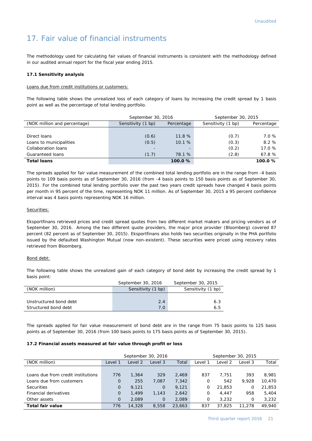## 17. Fair value of financial instruments

The methodology used for calculating fair values of financial instruments is consistent with the methodology defined in our audited annual report for the fiscal year ending 2015.

#### **17.1 Sensitivity analysis**

Loans due from credit institutions or customers:

The following table shows the unrealized loss of each category of loans by increasing the credit spread by 1 basis point as well as the percentage of total lending portfolio.

|                              | September 30, 2016               |        | September 30, 2015 |            |  |
|------------------------------|----------------------------------|--------|--------------------|------------|--|
| (NOK million and percentage) | Sensitivity (1 bp)<br>Percentage |        | Sensitivity (1 bp) | Percentage |  |
|                              |                                  |        |                    |            |  |
| Direct loans                 | (0.6)                            | 11.8%  | (0.7)              | 7.0%       |  |
| Loans to municipalities      | (0.5)                            | 10.1 % | (0.3)              | 8.2%       |  |
| Collaboration loans          | -                                |        | (0.2)              | 17.0%      |  |
| Guaranteed loans             | (1.7)                            | 78.1 % | (2.8)              | 67.8%      |  |
| <b>Total loans</b>           |                                  | 100.0% |                    | 100.0%     |  |

The spreads applied for fair value measurement of the combined total lending portfolio are in the range from -4 basis points to 109 basis points as of September 30, 2016 (from -4 basis points to 150 basis points as of September 30, 2015). For the combined total lending portfolio over the past two years credit spreads have changed 4 basis points per month in 95 percent of the time, representing NOK 11 million. As of September 30, 2015 a 95 percent confidence interval was 4 basis points representing NOK 16 million.

#### Securities:

Eksportfinans retrieved prices and credit spread quotes from two different market makers and pricing vendors as of September 30, 2016. Among the two different quote providers, the major price provider (Bloomberg) covered 87 percent (82 percent as of September 30, 2015). Eksportfinans also holds two securities originally in the PHA portfolio issued by the defaulted Washington Mutual (now non-existent). These securities were priced using recovery rates retrieved from Bloomberg.

#### Bond debt:

The following table shows the unrealized gain of each category of bond debt by increasing the credit spread by 1 basis point:

|                        | September 30, 2016 | September 30, 2015 |
|------------------------|--------------------|--------------------|
| (NOK million)          | Sensitivity (1 bp) | Sensitivity (1 bp) |
|                        |                    |                    |
| Unstructured bond debt | 2.4                | 6.3                |
| Structured bond debt   | 7.0                | 6.5                |

The spreads applied for fair value measurement of bond debt are in the range from 75 basis points to 125 basis points as of September 30, 2016 (from 100 basis points to 175 basis points as of September 30, 2015).

#### **17.2 Financial assets measured at fair value through profit or loss**

|                                    |          | September 30, 2016 |             |        | September 30, 2015 |         |         |        |
|------------------------------------|----------|--------------------|-------------|--------|--------------------|---------|---------|--------|
| (NOK million)                      | Level 1  | ∟evel 2            | Level 3     | Total  | ∟evel 1            | ∟evel 2 | Level 3 | Total  |
|                                    |          |                    |             |        |                    |         |         |        |
| Loans due from credit institutions | 776      | 1.364              | 329         | 2.469  | 837                | 7.751   | 393     | 8.981  |
| Loans due from customers           | $\Omega$ | 255                | 7,087       | 7,342  | 0                  | 542     | 9.928   | 10,470 |
| <b>Securities</b>                  | $\Omega$ | 9.121              | $\mathbf 0$ | 9.121  | 0                  | 21,853  | 0       | 21,853 |
| Financial derivatives              | $\Omega$ | 1.499              | 1,143       | 2,642  | 0                  | 4.447   | 958     | 5,404  |
| Other assets                       | $\Omega$ | 2.089              | $\mathbf 0$ | 2,089  | 0                  | 3.232   | 0       | 3,232  |
| <b>Total fair value</b>            | 776      | 14,328             | 8,558       | 23,663 | 837                | 37.825  | 11,278  | 49.940 |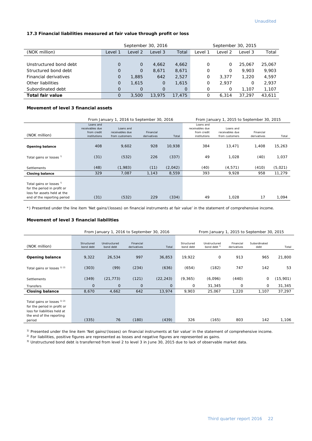#### **17.3 Financial liabilities measured at fair value through profit or loss**

|                        |                                        |                | September 30, 2016 |          | September 30, 2015 |       |        |        |
|------------------------|----------------------------------------|----------------|--------------------|----------|--------------------|-------|--------|--------|
| (NOK million)          | Total<br>Level 2<br>Level 3<br>Level : |                | _evel              | Level 2  | Level 3            | Total |        |        |
|                        |                                        |                |                    |          |                    |       |        |        |
| Unstructured bond debt | O                                      | $\circ$        | 4.662              | 4,662    | 0                  | O     | 25,067 | 25,067 |
| Structured bond debt   | 0                                      | 0              | 8,671              | 8,671    | 0                  | 0     | 9.903  | 9,903  |
| Financial derivatives  | $\overline{O}$                         | 1,885          | 642                | 2,527    | 0                  | 3.377 | 1,220  | 4,597  |
| Other liabilities      | 0                                      | 1,615          | $\Omega$           | 1,615    | 0                  | 2.937 | Ο      | 2,937  |
| Subordinated debt      | $\Omega$                               | $\overline{0}$ | $\Omega$           | $\Omega$ | 0                  | 0     | 1.107  | 1,107  |
| Total fair value       | O                                      | 3,500          | 13,975             | 17,475   | 0                  | 6.314 | 37.297 | 43.611 |

#### **Movement of level 3 financial assets**

|                                                                                                   |                                                             | From January 1, 2016 to September 30, 2016     |                          |         | From January 1, 2015 to September 30, 2015                  |                                                |                          |         |
|---------------------------------------------------------------------------------------------------|-------------------------------------------------------------|------------------------------------------------|--------------------------|---------|-------------------------------------------------------------|------------------------------------------------|--------------------------|---------|
| (NOK million)                                                                                     | Loans and<br>receivables due<br>from credit<br>institutions | Loans and<br>receivables due<br>from customers | Financial<br>derivatives | Total   | Loans and<br>receivables due<br>from credit<br>institutions | Loans and<br>receivables due<br>from customers | Financial<br>derivatives | Total   |
| <b>Opening balance</b>                                                                            | 408                                                         | 9,602                                          | 928                      | 10,938  | 384                                                         | 13,471                                         | 1,408                    | 15,263  |
| Total gains or losses <sup>!)</sup>                                                               | (31)                                                        | (532)                                          | 226                      | (337)   | 49                                                          | 1,028                                          | (40)                     | 1,037   |
| Settlements                                                                                       | (48)                                                        | (1,983)                                        | (11)                     | (2,042) | (40)                                                        | (4, 571)                                       | (410)                    | (5,021) |
| <b>Closing balance</b>                                                                            | 329                                                         | 7,087                                          | 1,143                    | 8,559   | 393                                                         | 9,928                                          | 958                      | 11,279  |
| Total gains or losses <sup>1)</sup><br>for the period in profit or<br>loss for assets held at the |                                                             |                                                |                          |         |                                                             |                                                |                          |         |
| end of the reporting period                                                                       | (31)                                                        | (532)                                          | 229                      | (334)   | 49                                                          | 1,028                                          | 17                       | 1,094   |

\*) Presented under the line item 'Net gains/(losses) on financial instruments at fair value' in the statement of comprehensive income.

#### **Movement of level 3 financial liabilities**

|                                                                                                                                             |                         | From January 1, 2016 to September 30, 2016 |                          |              |                         | From January 1, 2015 to September 30, 2015 |                          |                      |          |
|---------------------------------------------------------------------------------------------------------------------------------------------|-------------------------|--------------------------------------------|--------------------------|--------------|-------------------------|--------------------------------------------|--------------------------|----------------------|----------|
| (NOK million)                                                                                                                               | Structured<br>bond debt | Unstructured<br>bond debt                  | Financial<br>derivatives | Total        | Structured<br>bond debt | Unstructured<br>bond debt <sup>3)</sup>    | Financial<br>derivatives | Subordinated<br>debt | Total    |
| <b>Opening balance</b>                                                                                                                      | 9,322                   | 26,534                                     | 997                      | 36,853       | 19,922                  | 0                                          | 913                      | 965                  | 21,800   |
| Total gains or losses 1) 2)                                                                                                                 | (303)                   | (99)                                       | (234)                    | (636)        | (654)                   | (182)                                      | 747                      | 142                  | 53       |
| Settlements                                                                                                                                 | (349)                   | (21, 773)                                  | (121)                    | (22, 243)    | (9, 365)                | (6,096)                                    | (440)                    | 0                    | (15,901) |
| Transfers                                                                                                                                   | $\mathbf{0}$            | 0                                          | $\mathbf{O}$             | $\mathbf{0}$ | 0                       | 31,345                                     | 0                        | 0                    | 31,345   |
| <b>Closing balance</b>                                                                                                                      | 8,670                   | 4,662                                      | 642                      | 13,974       | 9,903                   | 25,067                                     | 1,220                    | 1,107                | 37,297   |
| Total gains or losses <sup>1) 2)</sup><br>for the period in profit or<br>loss for liabilities held at<br>the end of the reporting<br>period | (335)                   | 76                                         | (180)                    | (439)        | 326                     | (165)                                      | 803                      | 142                  | 1,106    |

<sup>1)</sup> Presented under the line item 'Net gains/(losses) on financial instruments at fair value' in the statement of comprehensive income.

<sup>2)</sup> For liabilities, positive figures are represented as losses and negative figures are represented as gains.

<sup>3)</sup> Unstructured bond debt is transferred from level 2 to level 3 in June 30, 2015 due to lack of observable market data.